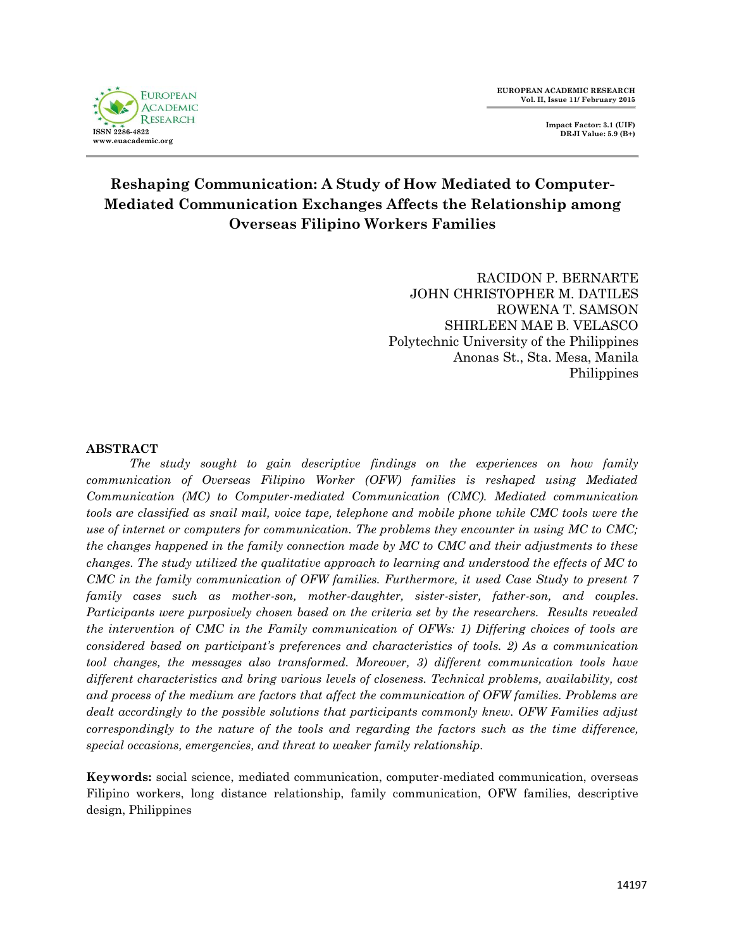



# **Reshaping Communication: A Study of How Mediated to Computer-Mediated Communication Exchanges Affects the Relationship among Overseas Filipino Workers Families**

RACIDON P. BERNARTE JOHN CHRISTOPHER M. DATILES ROWENA T. SAMSON SHIRLEEN MAE B. VELASCO Polytechnic University of the Philippines Anonas St., Sta. Mesa, Manila Philippines

## **ABSTRACT**

*The study sought to gain descriptive findings on the experiences on how family communication of Overseas Filipino Worker (OFW) families is reshaped using Mediated Communication (MC) to Computer-mediated Communication (CMC). Mediated communication tools are classified as snail mail, voice tape, telephone and mobile phone while CMC tools were the use of internet or computers for communication. The problems they encounter in using MC to CMC; the changes happened in the family connection made by MC to CMC and their adjustments to these changes. The study utilized the qualitative approach to learning and understood the effects of MC to CMC in the family communication of OFW families. Furthermore, it used Case Study to present 7 family cases such as mother-son, mother-daughter, sister-sister, father-son, and couples. Participants were purposively chosen based on the criteria set by the researchers. Results revealed the intervention of CMC in the Family communication of OFWs: 1) Differing choices of tools are considered based on participant"s preferences and characteristics of tools. 2) As a communication tool changes, the messages also transformed. Moreover, 3) different communication tools have different characteristics and bring various levels of closeness. Technical problems, availability, cost and process of the medium are factors that affect the communication of OFW families. Problems are dealt accordingly to the possible solutions that participants commonly knew. OFW Families adjust correspondingly to the nature of the tools and regarding the factors such as the time difference, special occasions, emergencies, and threat to weaker family relationship.*

**Keywords:** social science, mediated communication, computer-mediated communication, overseas Filipino workers, long distance relationship, family communication, OFW families, descriptive design, Philippines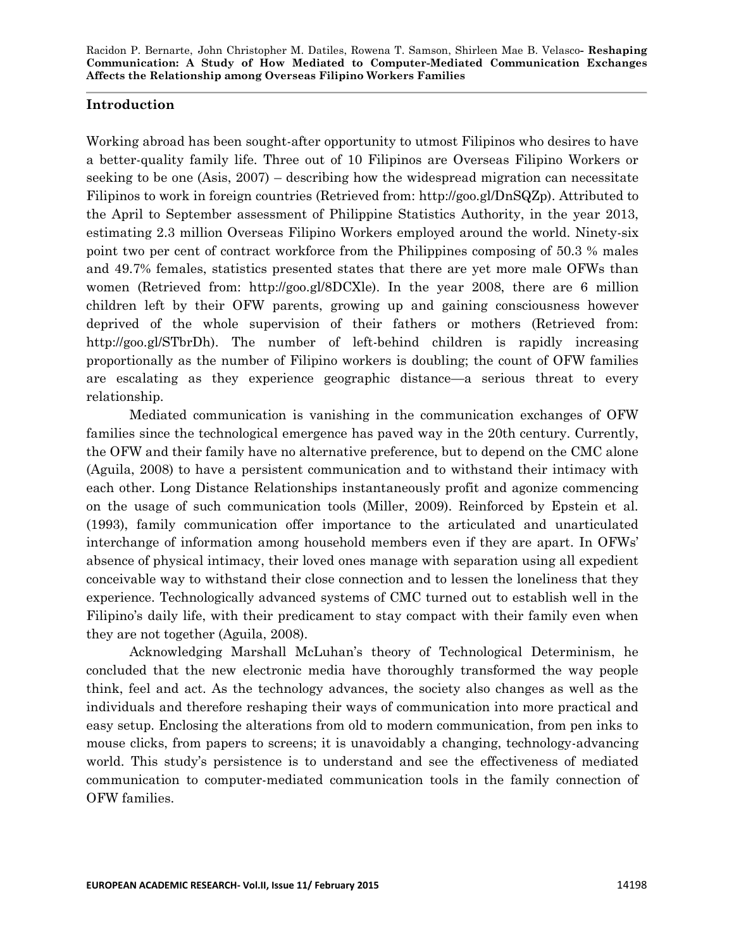# **Introduction**

Working abroad has been sought-after opportunity to utmost Filipinos who desires to have a better-quality family life. Three out of 10 Filipinos are Overseas Filipino Workers or seeking to be one (Asis, 2007) – describing how the widespread migration can necessitate Filipinos to work in foreign countries (Retrieved from: [http://goo.gl/DnSQZp\)](http://goo.gl/DnSQZp). Attributed to the April to September assessment of Philippine Statistics Authority, in the year 2013, estimating 2.3 million Overseas Filipino Workers employed around the world. Ninety-six point two per cent of contract workforce from the Philippines composing of 50.3 % males and 49.7% females, statistics presented states that there are yet more male OFWs than women (Retrieved from: [http://goo.gl/8DCXle\)](http://goo.gl/8DCXle). In the year 2008, there are 6 million children left by their OFW parents, growing up and gaining consciousness however deprived of the whole supervision of their fathers or mothers (Retrieved from: [http://goo.gl/STbrDh\)](http://goo.gl/STbrDh). The number of left-behind children is rapidly increasing proportionally as the number of Filipino workers is doubling; the count of OFW families are escalating as they experience geographic distance—a serious threat to every relationship.

Mediated communication is vanishing in the communication exchanges of OFW families since the technological emergence has paved way in the 20th century. Currently, the OFW and their family have no alternative preference, but to depend on the CMC alone (Aguila, 2008) to have a persistent communication and to withstand their intimacy with each other. Long Distance Relationships instantaneously profit and agonize commencing on the usage of such communication tools (Miller, 2009). Reinforced by Epstein et al. (1993), family communication offer importance to the articulated and unarticulated interchange of information among household members even if they are apart. In OFWs' absence of physical intimacy, their loved ones manage with separation using all expedient conceivable way to withstand their close connection and to lessen the loneliness that they experience. Technologically advanced systems of CMC turned out to establish well in the Filipino's daily life, with their predicament to stay compact with their family even when they are not together (Aguila, 2008).

Acknowledging Marshall McLuhan's theory of Technological Determinism, he concluded that the new electronic media have thoroughly transformed the way people think, feel and act. As the technology advances, the society also changes as well as the individuals and therefore reshaping their ways of communication into more practical and easy setup. Enclosing the alterations from old to modern communication, from pen inks to mouse clicks, from papers to screens; it is unavoidably a changing, technology-advancing world. This study's persistence is to understand and see the effectiveness of mediated communication to computer-mediated communication tools in the family connection of OFW families.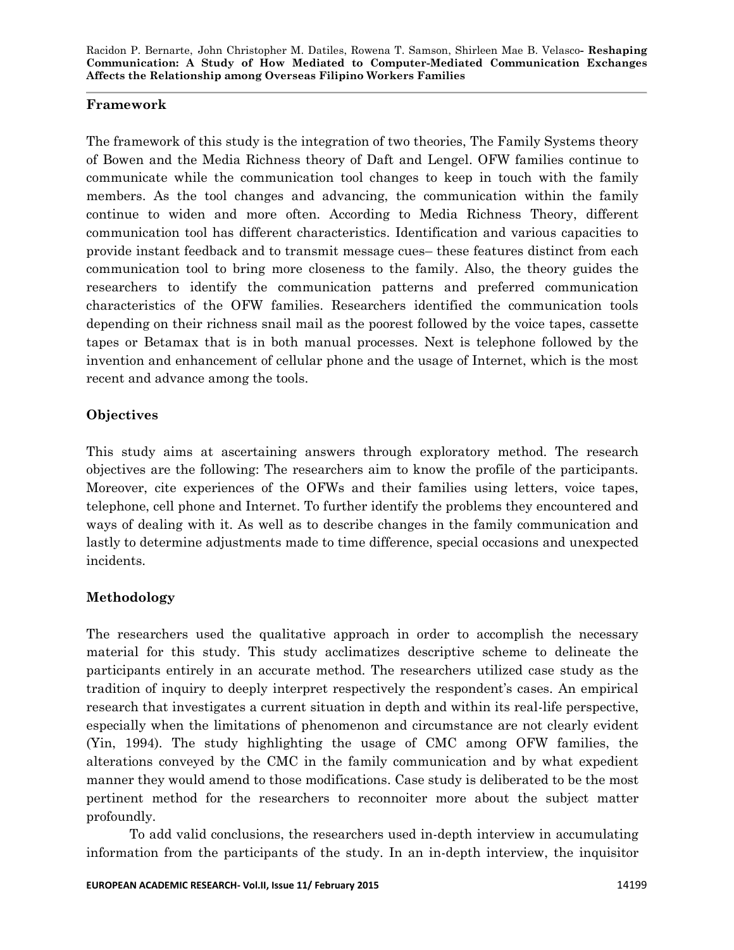# **Framework**

The framework of this study is the integration of two theories, The Family Systems theory of Bowen and the Media Richness theory of Daft and Lengel. OFW families continue to communicate while the communication tool changes to keep in touch with the family members. As the tool changes and advancing, the communication within the family continue to widen and more often. According to Media Richness Theory, different communication tool has different characteristics. Identification and various capacities to provide instant feedback and to transmit message cues– these features distinct from each communication tool to bring more closeness to the family. Also, the theory guides the researchers to identify the communication patterns and preferred communication characteristics of the OFW families. Researchers identified the communication tools depending on their richness snail mail as the poorest followed by the voice tapes, cassette tapes or Betamax that is in both manual processes. Next is telephone followed by the invention and enhancement of cellular phone and the usage of Internet, which is the most recent and advance among the tools.

# **Objectives**

This study aims at ascertaining answers through exploratory method. The research objectives are the following: The researchers aim to know the profile of the participants. Moreover, cite experiences of the OFWs and their families using letters, voice tapes, telephone, cell phone and Internet. To further identify the problems they encountered and ways of dealing with it. As well as to describe changes in the family communication and lastly to determine adjustments made to time difference, special occasions and unexpected incidents.

# **Methodology**

The researchers used the qualitative approach in order to accomplish the necessary material for this study. This study acclimatizes descriptive scheme to delineate the participants entirely in an accurate method. The researchers utilized case study as the tradition of inquiry to deeply interpret respectively the respondent's cases. An empirical research that investigates a current situation in depth and within its real-life perspective, especially when the limitations of phenomenon and circumstance are not clearly evident (Yin, 1994). The study highlighting the usage of CMC among OFW families, the alterations conveyed by the CMC in the family communication and by what expedient manner they would amend to those modifications. Case study is deliberated to be the most pertinent method for the researchers to reconnoiter more about the subject matter profoundly.

To add valid conclusions, the researchers used in-depth interview in accumulating information from the participants of the study. In an in-depth interview, the inquisitor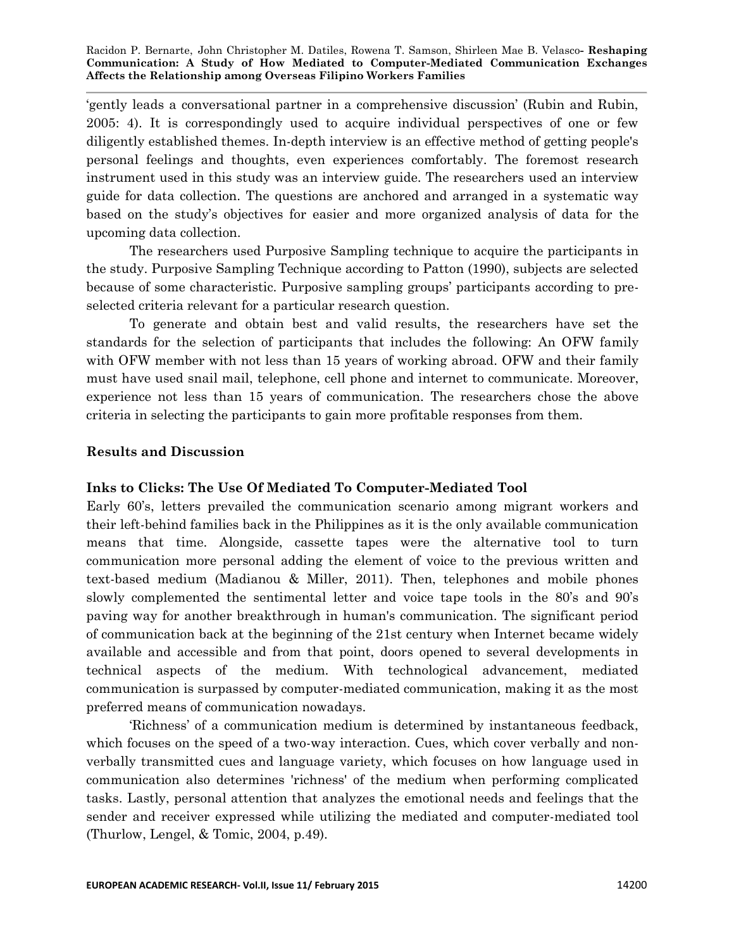‗gently leads a conversational partner in a comprehensive discussion' (Rubin and Rubin, 2005: 4). It is correspondingly used to acquire individual perspectives of one or few diligently established themes. In-depth interview is an effective method of getting people's personal feelings and thoughts, even experiences comfortably. The foremost research instrument used in this study was an interview guide. The researchers used an interview guide for data collection. The questions are anchored and arranged in a systematic way based on the study's objectives for easier and more organized analysis of data for the upcoming data collection.

The researchers used Purposive Sampling technique to acquire the participants in the study. Purposive Sampling Technique according to Patton (1990), subjects are selected because of some characteristic. Purposive sampling groups' participants according to preselected criteria relevant for a particular research question.

To generate and obtain best and valid results, the researchers have set the standards for the selection of participants that includes the following: An OFW family with OFW member with not less than 15 years of working abroad. OFW and their family must have used snail mail, telephone, cell phone and internet to communicate. Moreover, experience not less than 15 years of communication. The researchers chose the above criteria in selecting the participants to gain more profitable responses from them.

# **Results and Discussion**

# **Inks to Clicks: The Use Of Mediated To Computer-Mediated Tool**

Early 60's, letters prevailed the communication scenario among migrant workers and their left-behind families back in the Philippines as it is the only available communication means that time. Alongside, cassette tapes were the alternative tool to turn communication more personal adding the element of voice to the previous written and text-based medium (Madianou & Miller, 2011). Then, telephones and mobile phones slowly complemented the sentimental letter and voice tape tools in the 80's and 90's paving way for another breakthrough in human's communication. The significant period of communication back at the beginning of the 21st century when Internet became widely available and accessible and from that point, doors opened to several developments in technical aspects of the medium. With technological advancement, mediated communication is surpassed by computer-mediated communication, making it as the most preferred means of communication nowadays.

‗Richness' of a communication medium is determined by instantaneous feedback, which focuses on the speed of a two-way interaction. Cues, which cover verbally and nonverbally transmitted cues and language variety, which focuses on how language used in communication also determines 'richness' of the medium when performing complicated tasks. Lastly, personal attention that analyzes the emotional needs and feelings that the sender and receiver expressed while utilizing the mediated and computer-mediated tool (Thurlow, Lengel, & Tomic, 2004, p.49).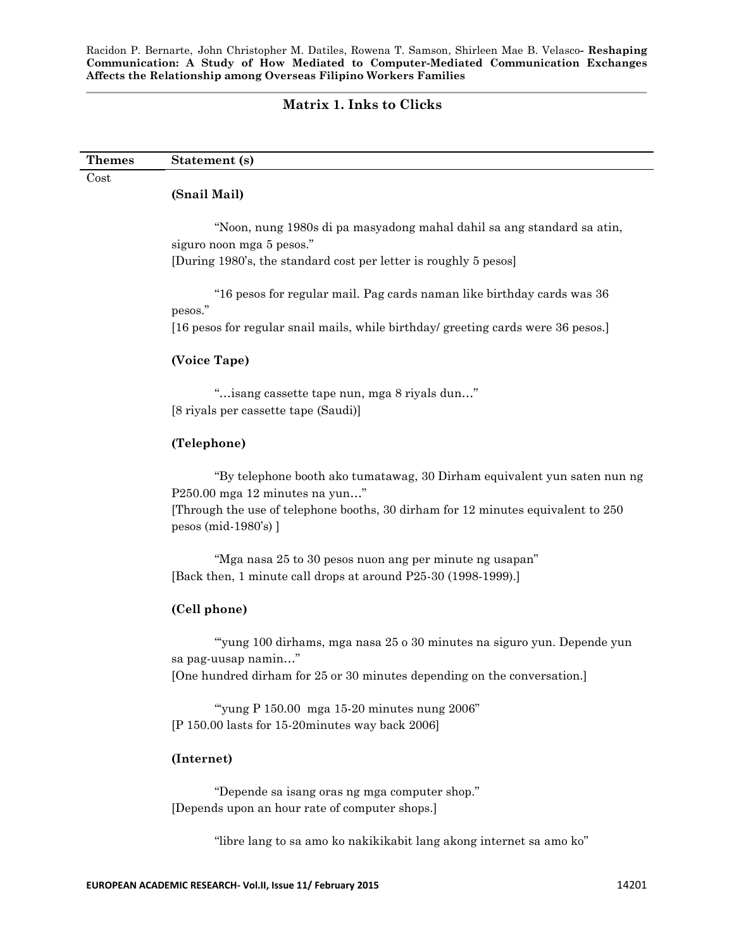## **Matrix 1. Inks to Clicks**

| <b>Themes</b> | Statement (s) |  |
|---------------|---------------|--|
| $\rm Cost$    |               |  |
|               | (Snail Mail)  |  |

―Noon, nung 1980s di pa masyadong mahal dahil sa ang standard sa atin, siguro noon mga 5 pesos."

[During 1980's, the standard cost per letter is roughly 5 pesos]

―16 pesos for regular mail. Pag cards naman like birthday cards was 36 pesos."

[16 pesos for regular snail mails, while birthday/ greeting cards were 36 pesos.]

## **(Voice Tape)**

―…isang cassette tape nun, mga 8 riyals dun…‖ [8 riyals per cassette tape (Saudi)]

## **(Telephone)**

―By telephone booth ako tumatawag, 30 Dirham equivalent yun saten nun ng P $250.00$  mga  $12$  minutes na yun..."

[Through the use of telephone booths, 30 dirham for 12 minutes equivalent to 250 pesos (mid-1980's) ]

"Mga nasa 25 to 30 pesos nuon ang per minute ng usapan" [Back then, 1 minute call drops at around P25-30 (1998-1999).]

## **(Cell phone)**

―‗yung 100 dirhams, mga nasa 25 o 30 minutes na siguro yun. Depende yun sa pag-uusap namin..." [One hundred dirham for 25 or 30 minutes depending on the conversation.]

"yung P  $150.00$  mga  $15-20$  minutes nung  $2006$ " [P 150.00 lasts for 15-20minutes way back 2006]

## **(Internet)**

"Depende sa isang oras ng mga computer shop." [Depends upon an hour rate of computer shops.]

"libre lang to sa amo ko nakikikabit lang akong internet sa amo ko"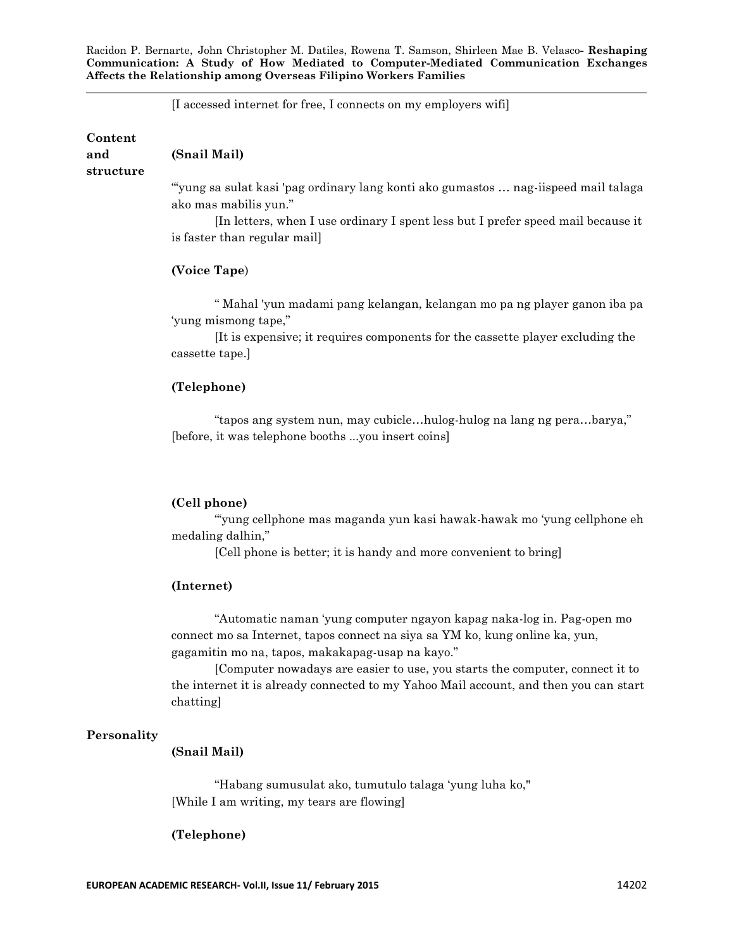[I accessed internet for free, I connects on my employers wifi]

**Content and structure (Snail Mail)** ―‗yung sa sulat kasi 'pag ordinary lang konti ako gumastos … nag-iispeed mail talaga ako mas mabilis yun."

[In letters, when I use ordinary I spent less but I prefer speed mail because it is faster than regular mail]

## **(Voice Tape**)

― Mahal 'yun madami pang kelangan, kelangan mo pa ng player ganon iba pa 'yung mismong tape,"

[It is expensive; it requires components for the cassette player excluding the cassette tape.]

#### **(Telephone)**

"tapos ang system nun, may cubicle...hulog-hulog na lang ng pera...barya," [before, it was telephone booths ...you insert coins]

#### **(Cell phone)**

―‗yung cellphone mas maganda yun kasi hawak-hawak mo ‗yung cellphone eh medaling dalhin,"

[Cell phone is better; it is handy and more convenient to bring]

## **(Internet)**

―Automatic naman ‗yung computer ngayon kapag naka-log in. Pag-open mo connect mo sa Internet, tapos connect na siya sa YM ko, kung online ka, yun, gagamitin mo na, tapos, makakapag-usap na kayo."

[Computer nowadays are easier to use, you starts the computer, connect it to the internet it is already connected to my Yahoo Mail account, and then you can start chatting]

## **Personality**

## **(Snail Mail)**

―Habang sumusulat ako, tumutulo talaga ‗yung luha ko," [While I am writing, my tears are flowing]

#### **(Telephone)**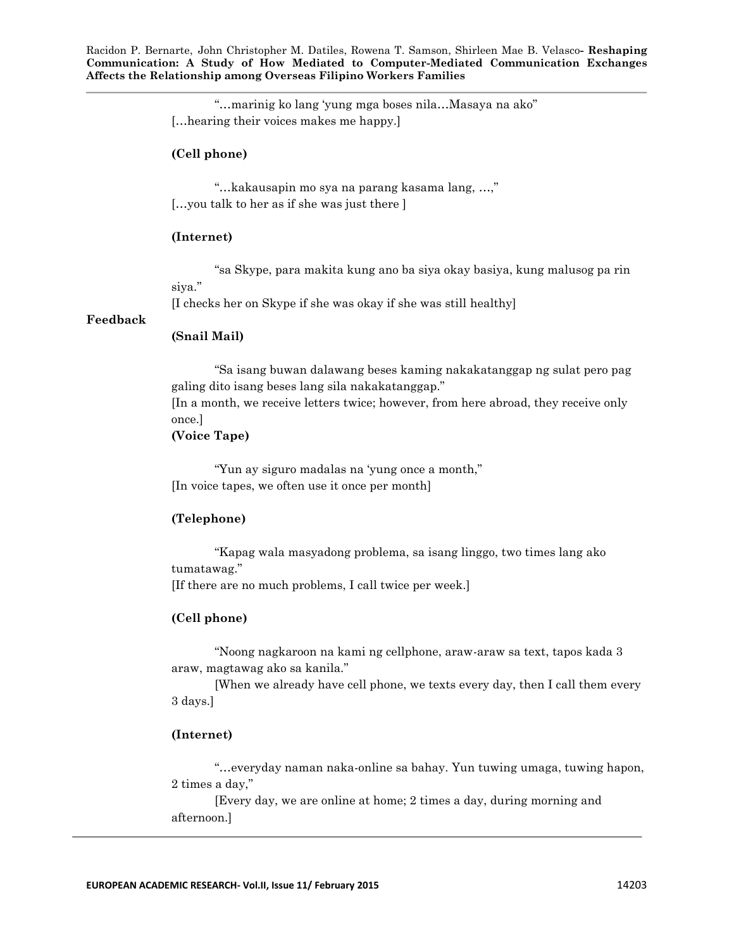> "...marinig ko lang 'yung mga boses nila...Masaya na ako" […hearing their voices makes me happy.]

## **(Cell phone)**

"...kakausapin mo sya na parang kasama lang, ...," […you talk to her as if she was just there ]

#### **(Internet)**

―sa Skype, para makita kung ano ba siya okay basiya, kung malusog pa rin siya."

[I checks her on Skype if she was okay if she was still healthy]

#### **Feedback**

## **(Snail Mail)**

―Sa isang buwan dalawang beses kaming nakakatanggap ng sulat pero pag galing dito isang beses lang sila nakakatanggap." [In a month, we receive letters twice; however, from here abroad, they receive only once.]

## **(Voice Tape)**

"Yun ay siguro madalas na 'yung once a month," [In voice tapes, we often use it once per month]

## **(Telephone)**

―Kapag wala masyadong problema, sa isang linggo, two times lang ako tumatawag."

[If there are no much problems, I call twice per week.]

### **(Cell phone)**

―Noong nagkaroon na kami ng cellphone, araw-araw sa text, tapos kada 3 araw, magtawag ako sa kanila.‖

[When we already have cell phone, we texts every day, then I call them every 3 days.]

## **(Internet)**

―…everyday naman naka-online sa bahay. Yun tuwing umaga, tuwing hapon, 2 times a day,"

[Every day, we are online at home; 2 times a day, during morning and afternoon.]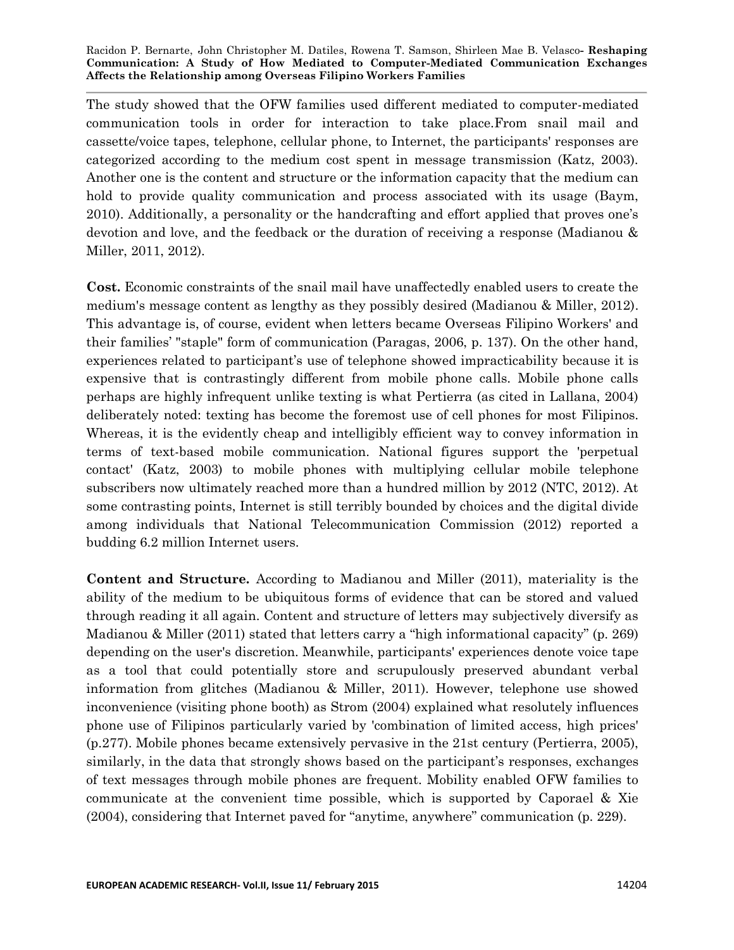The study showed that the OFW families used different mediated to computer-mediated communication tools in order for interaction to take place.From snail mail and cassette/voice tapes, telephone, cellular phone, to Internet, the participants' responses are categorized according to the medium cost spent in message transmission (Katz, 2003). Another one is the content and structure or the information capacity that the medium can hold to provide quality communication and process associated with its usage (Baym, 2010). Additionally, a personality or the handcrafting and effort applied that proves one's devotion and love, and the feedback or the duration of receiving a response (Madianou & Miller, 2011, 2012).

**Cost.** Economic constraints of the snail mail have unaffectedly enabled users to create the medium's message content as lengthy as they possibly desired (Madianou & Miller, 2012). This advantage is, of course, evident when letters became Overseas Filipino Workers' and their families' "staple" form of communication (Paragas, 2006, p. 137). On the other hand, experiences related to participant's use of telephone showed impracticability because it is expensive that is contrastingly different from mobile phone calls. Mobile phone calls perhaps are highly infrequent unlike texting is what Pertierra (as cited in Lallana, 2004) deliberately noted: texting has become the foremost use of cell phones for most Filipinos. Whereas, it is the evidently cheap and intelligibly efficient way to convey information in terms of text-based mobile communication. National figures support the 'perpetual contact' (Katz, 2003) to mobile phones with multiplying cellular mobile telephone subscribers now ultimately reached more than a hundred million by 2012 (NTC, 2012). At some contrasting points, Internet is still terribly bounded by choices and the digital divide among individuals that National Telecommunication Commission (2012) reported a budding 6.2 million Internet users.

**Content and Structure***.* According to Madianou and Miller (2011), materiality is the ability of the medium to be ubiquitous forms of evidence that can be stored and valued through reading it all again. Content and structure of letters may subjectively diversify as Madianou & Miller (2011) stated that letters carry a "high informational capacity" (p. 269) depending on the user's discretion. Meanwhile, participants' experiences denote voice tape as a tool that could potentially store and scrupulously preserved abundant verbal information from glitches (Madianou & Miller, 2011). However, telephone use showed inconvenience (visiting phone booth) as Strom (2004) explained what resolutely influences phone use of Filipinos particularly varied by 'combination of limited access, high prices' (p.277). Mobile phones became extensively pervasive in the 21st century (Pertierra, 2005), similarly, in the data that strongly shows based on the participant's responses, exchanges of text messages through mobile phones are frequent. Mobility enabled OFW families to communicate at the convenient time possible, which is supported by Caporael & Xie (2004), considering that Internet paved for "anytime, anywhere" communication (p. 229).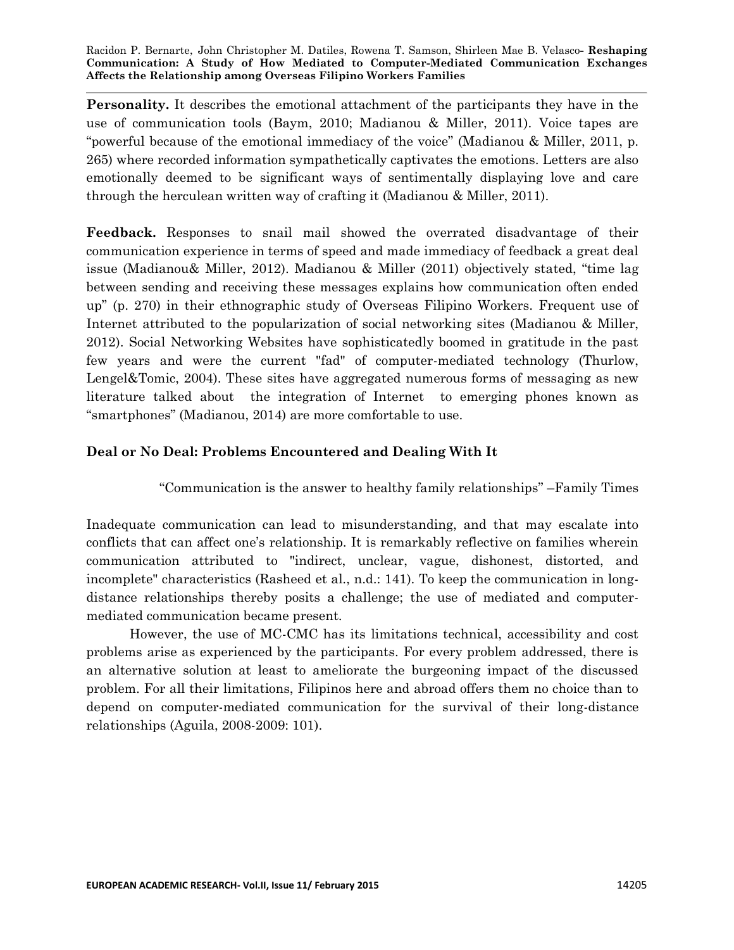**Personality.** It describes the emotional attachment of the participants they have in the use of communication tools (Baym, 2010; Madianou & Miller, 2011). Voice tapes are "powerful because of the emotional immediacy of the voice" (Madianou & Miller, 2011, p. 265) where recorded information sympathetically captivates the emotions. Letters are also emotionally deemed to be significant ways of sentimentally displaying love and care through the herculean written way of crafting it (Madianou & Miller, 2011).

**Feedback.** Responses to snail mail showed the overrated disadvantage of their communication experience in terms of speed and made immediacy of feedback a great deal issue (Madianou & Miller, 2012). Madianou & Miller (2011) objectively stated, "time lag between sending and receiving these messages explains how communication often ended up" (p. 270) in their ethnographic study of Overseas Filipino Workers. Frequent use of Internet attributed to the popularization of social networking sites (Madianou & Miller, 2012). Social Networking Websites have sophisticatedly boomed in gratitude in the past few years and were the current "fad" of computer-mediated technology (Thurlow, Lengel&Tomic, 2004). These sites have aggregated numerous forms of messaging as new literature talked about the integration of Internet to emerging phones known as "smartphones" (Madianou, 2014) are more comfortable to use.

# **Deal or No Deal: Problems Encountered and Dealing With It**

―Communication is the answer to healthy family relationships‖ –Family Times

Inadequate communication can lead to misunderstanding, and that may escalate into conflicts that can affect one's relationship. It is remarkably reflective on families wherein communication attributed to "indirect, unclear, vague, dishonest, distorted, and incomplete" characteristics (Rasheed et al., n.d.: 141). To keep the communication in longdistance relationships thereby posits a challenge; the use of mediated and computermediated communication became present.

However, the use of MC-CMC has its limitations technical, accessibility and cost problems arise as experienced by the participants. For every problem addressed, there is an alternative solution at least to ameliorate the burgeoning impact of the discussed problem. For all their limitations, Filipinos here and abroad offers them no choice than to depend on computer-mediated communication for the survival of their long-distance relationships (Aguila, 2008-2009: 101).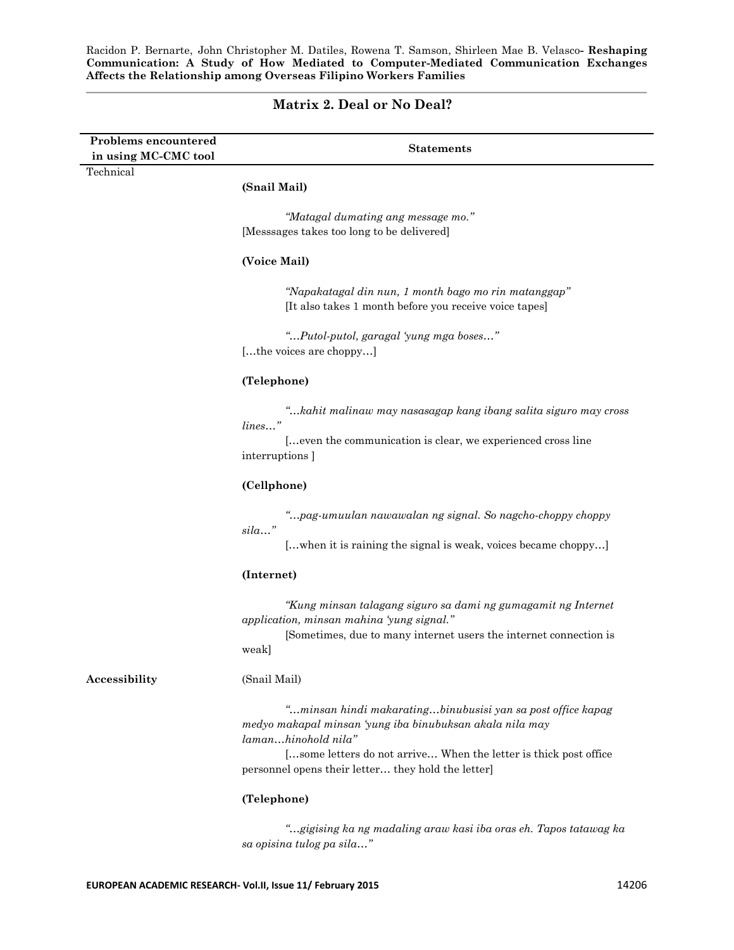## **Matrix 2. Deal or No Deal?**

| <b>Problems encountered</b><br>in using MC-CMC tool | <b>Statements</b>                                                                                                                                                                                                                                                        |
|-----------------------------------------------------|--------------------------------------------------------------------------------------------------------------------------------------------------------------------------------------------------------------------------------------------------------------------------|
| Technical                                           |                                                                                                                                                                                                                                                                          |
|                                                     | (Snail Mail)                                                                                                                                                                                                                                                             |
|                                                     | "Matagal dumating ang message mo."                                                                                                                                                                                                                                       |
|                                                     | [Messsages takes too long to be delivered]                                                                                                                                                                                                                               |
|                                                     | (Voice Mail)                                                                                                                                                                                                                                                             |
|                                                     | "Napakatagal din nun, 1 month bago mo rin matanggap"<br>[It also takes 1 month before you receive voice tapes]                                                                                                                                                           |
|                                                     | "Putol-putol, garagal 'yung mga boses"<br>[the voices are choppy]                                                                                                                                                                                                        |
|                                                     | (Telephone)                                                                                                                                                                                                                                                              |
|                                                     | "kahit malinaw may nasasagap kang ibang salita siguro may cross<br>lines"<br>[even the communication is clear, we experienced cross line                                                                                                                                 |
|                                                     | interruptions ]                                                                                                                                                                                                                                                          |
|                                                     | (Cellphone)                                                                                                                                                                                                                                                              |
|                                                     | "pag-umuulan nawawalan ng signal. So nagcho-choppy choppy<br>sila"                                                                                                                                                                                                       |
|                                                     | [when it is raining the signal is weak, voices became choppy]                                                                                                                                                                                                            |
|                                                     | (Internet)                                                                                                                                                                                                                                                               |
|                                                     | "Kung minsan talagang siguro sa dami ng gumagamit ng Internet<br>application, minsan mahina 'yung signal."                                                                                                                                                               |
|                                                     | [Sometimes, due to many internet users the internet connection is<br>weak]                                                                                                                                                                                               |
| Accessibility                                       | (Snail Mail)                                                                                                                                                                                                                                                             |
|                                                     | "minsan hindi makaratingbinubusisi yan sa post office kapag<br>medyo makapal minsan 'yung iba binubuksan akala nila may<br>lamanhinohold nila"<br>[some letters do not arrive When the letter is thick post office<br>personnel opens their letter they hold the letter] |
|                                                     | (Telephone)                                                                                                                                                                                                                                                              |
|                                                     | "gigising ka ng madaling araw kasi iba oras eh. Tapos tatawag ka<br>sa opisina tulog pa sila"                                                                                                                                                                            |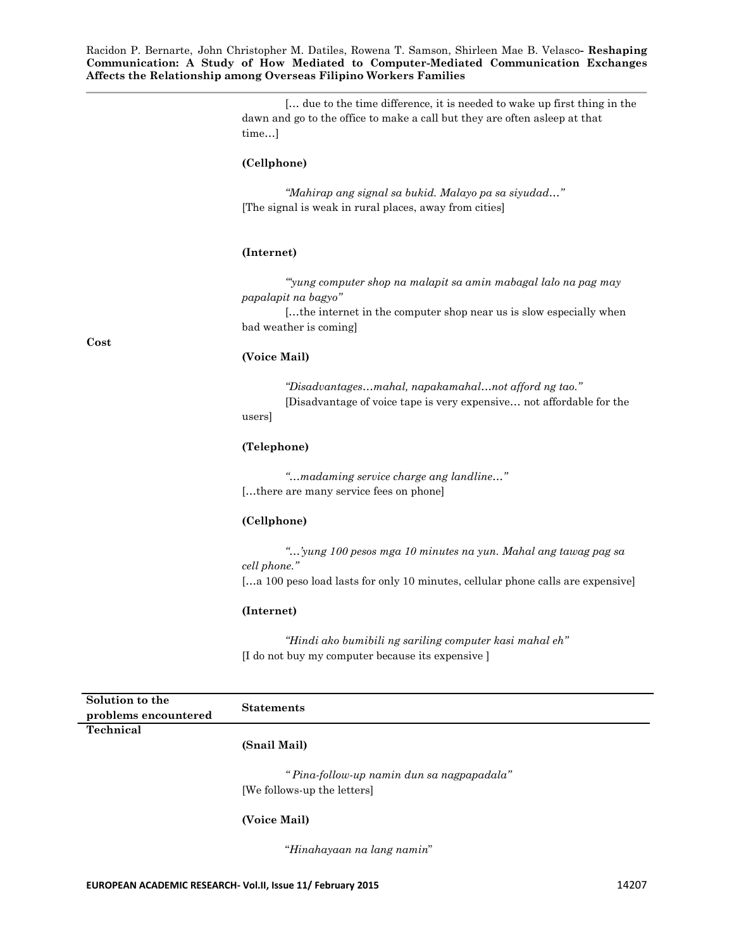> [… due to the time difference, it is needed to wake up first thing in the dawn and go to the office to make a call but they are often asleep at that time…]

#### **(Cellphone)**

*"Mahirap ang signal sa bukid. Malayo pa sa siyudad…"* [The signal is weak in rural places, away from cities]

#### **(Internet)**

*""yung computer shop na malapit sa amin mabagal lalo na pag may papalapit na bagyo"*

[…the internet in the computer shop near us is slow especially when bad weather is coming]

#### **(Voice Mail)**

*"Disadvantages…mahal, napakamahal…not afford ng tao."* [Disadvantage of voice tape is very expensive… not affordable for the users]

#### **(Telephone)**

*"…madaming service charge ang landline…"* […there are many service fees on phone]

## **(Cellphone)**

*"…"yung 100 pesos mga 10 minutes na yun. Mahal ang tawag pag sa cell phone."*

[…a 100 peso load lasts for only 10 minutes, cellular phone calls are expensive]

#### **(Internet)**

*"Hindi ako bumibili ng sariling computer kasi mahal eh"* [I do not buy my computer because its expensive ]

| Solution to the      | <b>Statements</b>                         |  |
|----------------------|-------------------------------------------|--|
| problems encountered |                                           |  |
| Technical            |                                           |  |
|                      | (Snail Mail)                              |  |
|                      | "Pina-follow-up namin dun sa nagpapadala" |  |
|                      | [We follows-up the letters]               |  |

#### **(Voice Mail)**

―*Hinahayaan na lang namin*‖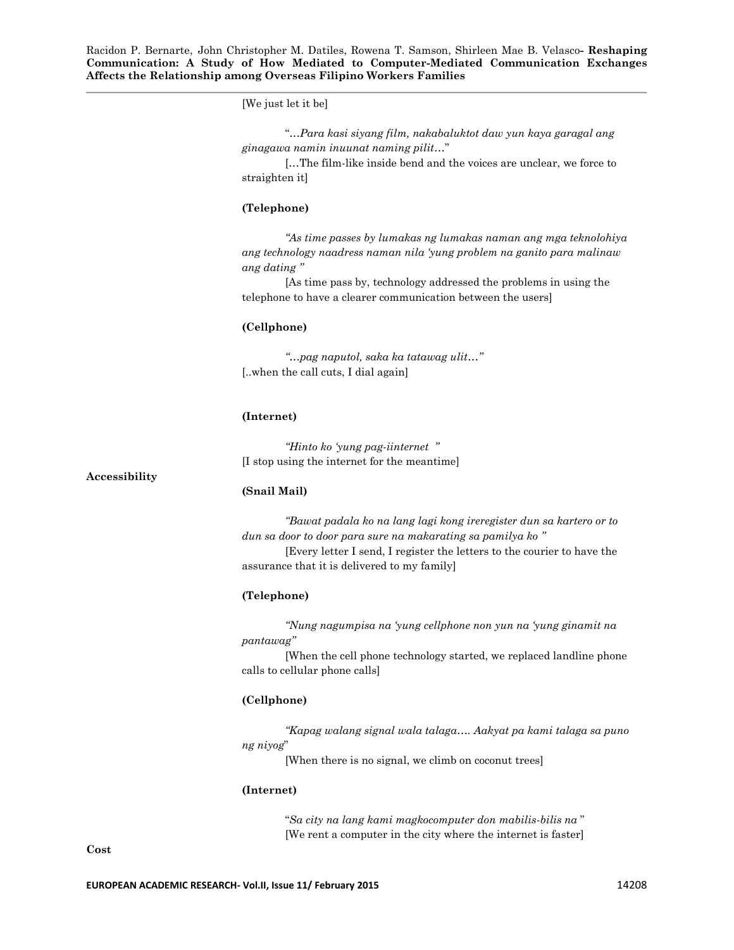[We just let it be]

|                                      | "Para kasi siyang film, nakabaluktot daw yun kaya garagal ang |  |  |
|--------------------------------------|---------------------------------------------------------------|--|--|
| ginagawa namin inuunat naming pilit" |                                                               |  |  |

[…The film-like inside bend and the voices are unclear, we force to straighten it]

#### **(Telephone)**

*"As time passes by lumakas ng lumakas naman ang mga teknolohiya ang technology naadress naman nila "yung problem na ganito para malinaw ang dating "*

[As time pass by, technology addressed the problems in using the telephone to have a clearer communication between the users]

#### **(Cellphone)**

*"…pag naputol, saka ka tatawag ulit…"* [..when the call cuts, I dial again]

#### **(Internet)**

*"Hinto ko "yung pag-iinternet "* [I stop using the internet for the meantime]

#### **Accessibility**

#### **(Snail Mail)**

*"Bawat padala ko na lang lagi kong ireregister dun sa kartero or to dun sa door to door para sure na makarating sa pamilya ko "* [Every letter I send, I register the letters to the courier to have the assurance that it is delivered to my family]

#### **(Telephone)**

*"Nung nagumpisa na "yung cellphone non yun na "yung ginamit na pantawag"*

[When the cell phone technology started, we replaced landline phone calls to cellular phone calls]

#### **(Cellphone)**

*"Kapag walang signal wala talaga…. Aakyat pa kami talaga sa puno ng niyog*‖

[When there is no signal, we climb on coconut trees]

#### **(Internet)**

―*Sa city na lang kami magkocomputer don mabilis-bilis na* ‖ [We rent a computer in the city where the internet is faster]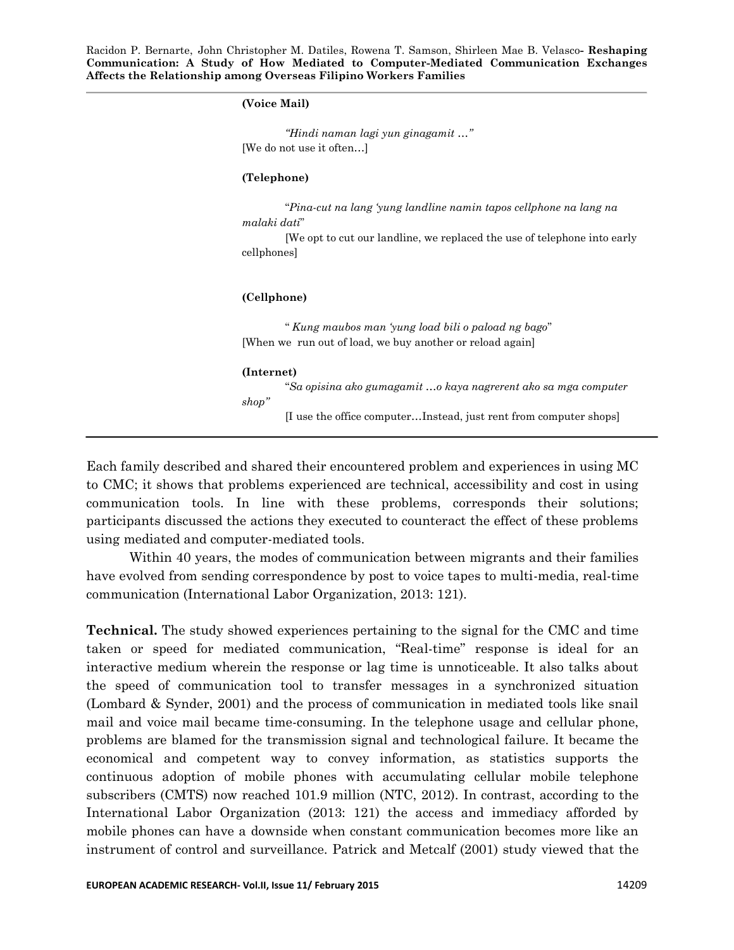## **(Voice Mail)**

*"Hindi naman lagi yun ginagamit …"* [We do not use it often…]

## **(Telephone)**

―*Pina-cut na lang "yung landline namin tapos cellphone na lang na malaki dati*‖

[We opt to cut our landline, we replaced the use of telephone into early cellphones]

## **(Cellphone)**

― *Kung maubos man "yung load bili o paload ng bago*‖ [When we run out of load, we buy another or reload again]

## **(Internet)**

―*Sa opisina ako gumagamit …o kaya nagrerent ako sa mga computer shop"* [I use the office computer…Instead, just rent from computer shops]

Each family described and shared their encountered problem and experiences in using MC to CMC; it shows that problems experienced are technical, accessibility and cost in using communication tools. In line with these problems, corresponds their solutions; participants discussed the actions they executed to counteract the effect of these problems using mediated and computer-mediated tools.

Within 40 years, the modes of communication between migrants and their families have evolved from sending correspondence by post to voice tapes to multi-media, real-time communication (International Labor Organization, 2013: 121).

**Technical.** The study showed experiences pertaining to the signal for the CMC and time taken or speed for mediated communication, "Real-time" response is ideal for an interactive medium wherein the response or lag time is unnoticeable. It also talks about the speed of communication tool to transfer messages in a synchronized situation (Lombard & Synder, 2001) and the process of communication in mediated tools like snail mail and voice mail became time-consuming. In the telephone usage and cellular phone, problems are blamed for the transmission signal and technological failure. It became the economical and competent way to convey information, as statistics supports the continuous adoption of mobile phones with accumulating cellular mobile telephone subscribers (CMTS) now reached 101.9 million (NTC, 2012). In contrast, according to the International Labor Organization (2013: 121) the access and immediacy afforded by mobile phones can have a downside when constant communication becomes more like an instrument of control and surveillance. Patrick and Metcalf (2001) study viewed that the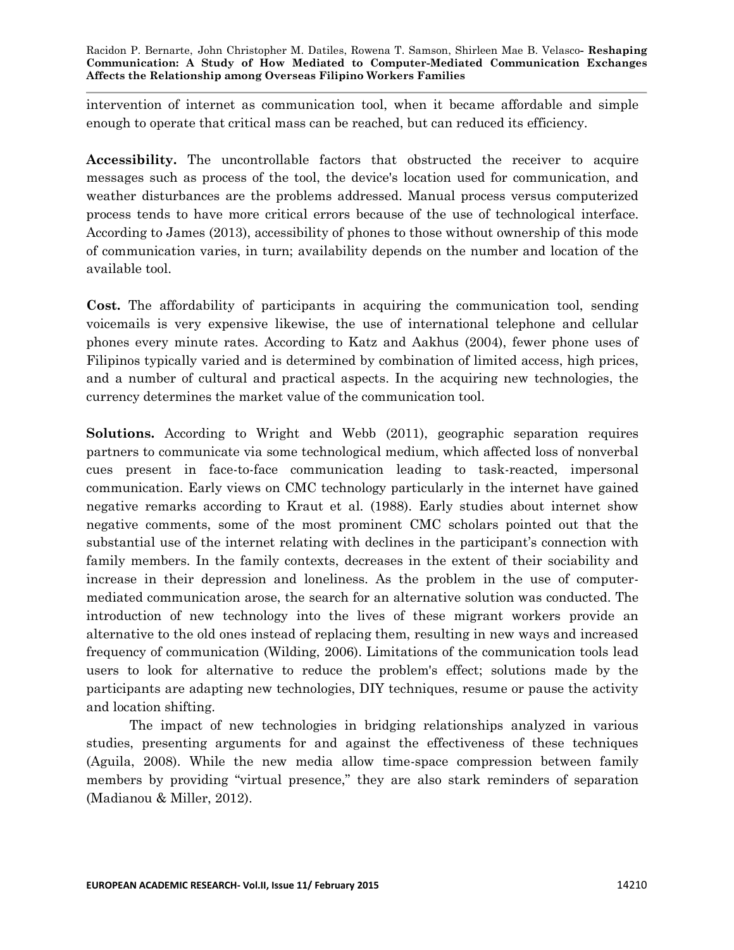intervention of internet as communication tool, when it became affordable and simple enough to operate that critical mass can be reached, but can reduced its efficiency.

**Accessibility.** The uncontrollable factors that obstructed the receiver to acquire messages such as process of the tool, the device's location used for communication, and weather disturbances are the problems addressed. Manual process versus computerized process tends to have more critical errors because of the use of technological interface. According to James (2013), accessibility of phones to those without ownership of this mode of communication varies, in turn; availability depends on the number and location of the available tool.

**Cost.** The affordability of participants in acquiring the communication tool, sending voicemails is very expensive likewise, the use of international telephone and cellular phones every minute rates. According to Katz and Aakhus (2004), fewer phone uses of Filipinos typically varied and is determined by combination of limited access, high prices, and a number of cultural and practical aspects. In the acquiring new technologies, the currency determines the market value of the communication tool.

**Solutions.** According to Wright and Webb (2011), geographic separation requires partners to communicate via some technological medium, which affected loss of nonverbal cues present in face-to-face communication leading to task-reacted, impersonal communication. Early views on CMC technology particularly in the internet have gained negative remarks according to Kraut et al. (1988). Early studies about internet show negative comments, some of the most prominent CMC scholars pointed out that the substantial use of the internet relating with declines in the participant's connection with family members. In the family contexts, decreases in the extent of their sociability and increase in their depression and loneliness. As the problem in the use of computermediated communication arose, the search for an alternative solution was conducted. The introduction of new technology into the lives of these migrant workers provide an alternative to the old ones instead of replacing them, resulting in new ways and increased frequency of communication (Wilding, 2006). Limitations of the communication tools lead users to look for alternative to reduce the problem's effect; solutions made by the participants are adapting new technologies, DIY techniques, resume or pause the activity and location shifting.

The impact of new technologies in bridging relationships analyzed in various studies, presenting arguments for and against the effectiveness of these techniques (Aguila, 2008). While the new media allow time-space compression between family members by providing "virtual presence," they are also stark reminders of separation (Madianou & Miller, 2012).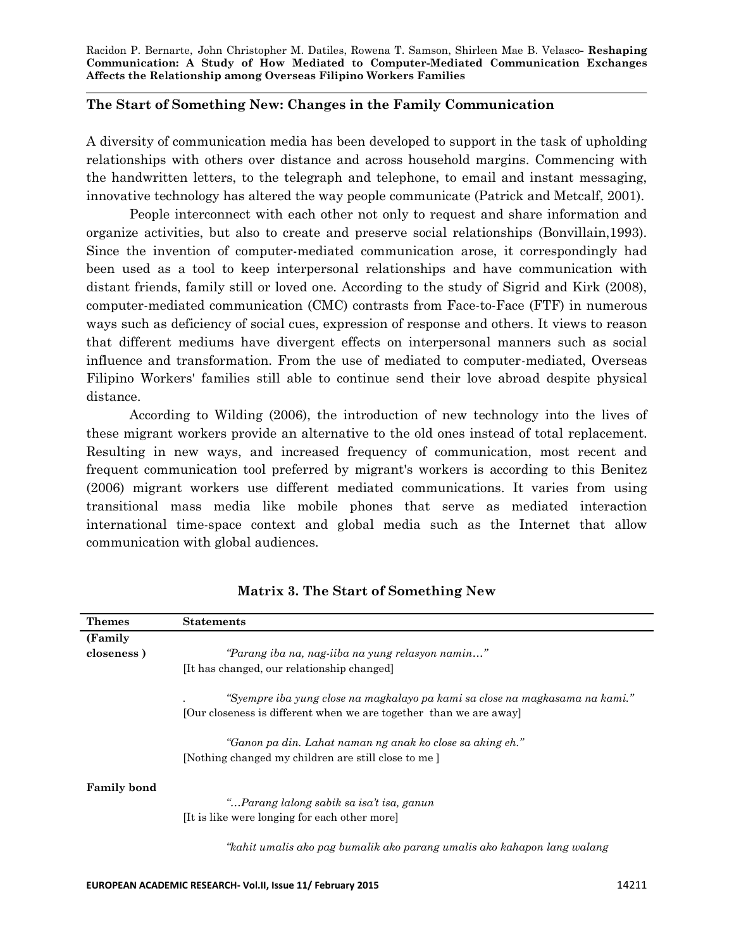# **The Start of Something New: Changes in the Family Communication**

A diversity of communication media has been developed to support in the task of upholding relationships with others over distance and across household margins. Commencing with the handwritten letters, to the telegraph and telephone, to email and instant messaging, innovative technology has altered the way people communicate (Patrick and Metcalf, 2001).

People interconnect with each other not only to request and share information and organize activities, but also to create and preserve social relationships (Bonvillain,1993). Since the invention of computer-mediated communication arose, it correspondingly had been used as a tool to keep interpersonal relationships and have communication with distant friends, family still or loved one. According to the study of Sigrid and Kirk (2008), computer-mediated communication (CMC) contrasts from Face-to-Face (FTF) in numerous ways such as deficiency of social cues, expression of response and others. It views to reason that different mediums have divergent effects on interpersonal manners such as social influence and transformation. From the use of mediated to computer-mediated, Overseas Filipino Workers' families still able to continue send their love abroad despite physical distance.

According to Wilding (2006), the introduction of new technology into the lives of these migrant workers provide an alternative to the old ones instead of total replacement. Resulting in new ways, and increased frequency of communication, most recent and frequent communication tool preferred by migrant's workers is according to this Benitez (2006) migrant workers use different mediated communications. It varies from using transitional mass media like mobile phones that serve as mediated interaction international time-space context and global media such as the Internet that allow communication with global audiences.

| <b>Themes</b>      | <b>Statements</b>                                                                                                                                                  |
|--------------------|--------------------------------------------------------------------------------------------------------------------------------------------------------------------|
| (Family)           |                                                                                                                                                                    |
| closeness)         | "Parang iba na, nag-iiba na yung relasyon namin"                                                                                                                   |
|                    | [It has changed, our relationship changed]                                                                                                                         |
|                    | "Syempre iba yung close na magkalayo pa kami sa close na magkasama na kami."                                                                                       |
|                    | [Our closeness is different when we are together than we are away]                                                                                                 |
|                    | "Ganon pa din. Lahat naman ng anak ko close sa aking eh."<br>[Nothing changed my children are still close to me]                                                   |
| <b>Family bond</b> | "Parang lalong sabik sa isa't isa, ganun<br>It is like were longing for each other more<br>"kahit umalis ako pag bumalik ako parang umalis ako kahapon lang walang |

**Matrix 3. The Start of Something New**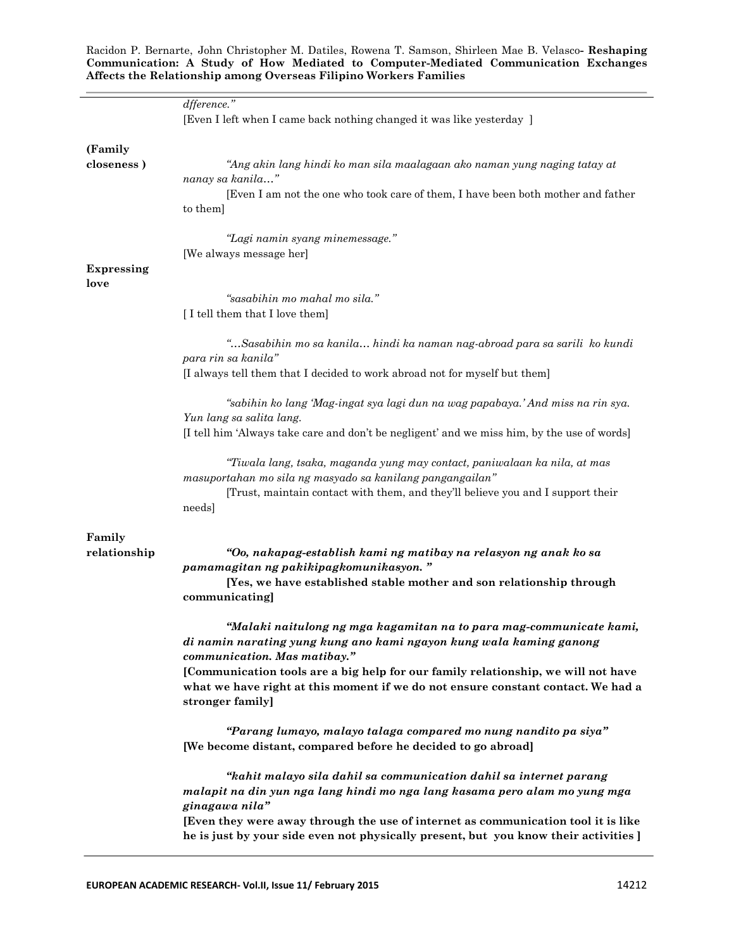|                        | dfference."<br>[Even I left when I came back nothing changed it was like yesterday]                                                                                   |
|------------------------|-----------------------------------------------------------------------------------------------------------------------------------------------------------------------|
|                        |                                                                                                                                                                       |
| (Family<br>closeness)  | "Ang akin lang hindi ko man sila maalagaan ako naman yung naging tatay at                                                                                             |
|                        | nanay sa kanila"                                                                                                                                                      |
|                        | [Even I am not the one who took care of them, I have been both mother and father<br>to them]                                                                          |
|                        | "Lagi namin syang minemessage."<br>[We always message her]                                                                                                            |
|                        |                                                                                                                                                                       |
| <b>Expressing</b>      |                                                                                                                                                                       |
| love                   |                                                                                                                                                                       |
|                        | "sasabihin mo mahal mo sila."                                                                                                                                         |
|                        | [I tell them that I love them]                                                                                                                                        |
|                        |                                                                                                                                                                       |
|                        | "Sasabihin mo sa kanila hindi ka naman nag-abroad para sa sarili ko kundi<br>para rin sa kanila"                                                                      |
|                        |                                                                                                                                                                       |
|                        | [I always tell them that I decided to work abroad not for myself but them]                                                                                            |
|                        | "sabihin ko lang 'Mag-ingat sya lagi dun na wag papabaya.' And miss na rin sya.                                                                                       |
|                        | Yun lang sa salita lang.                                                                                                                                              |
|                        | [I tell him 'Always take care and don't be negligent' and we miss him, by the use of words]                                                                           |
|                        | "Tiwala lang, tsaka, maganda yung may contact, paniwalaan ka nila, at mas                                                                                             |
|                        | masuportahan mo sila ng masyado sa kanilang pangangailan"                                                                                                             |
|                        | [Trust, maintain contact with them, and they'll believe you and I support their                                                                                       |
|                        | needs]                                                                                                                                                                |
|                        |                                                                                                                                                                       |
| Family<br>relationship | "Oo, nakapag-establish kami ng matibay na relasyon ng anak ko sa<br>pamamagitan ng pakikipagkomunikasyon."                                                            |
|                        | [Yes, we have established stable mother and son relationship through<br>communicating]                                                                                |
|                        | "Malaki naitulong ng mga kagamitan na to para mag-communicate kami,<br>di namin narating yung kung ano kami ngayon kung wala kaming ganong                            |
|                        | communication. Mas matibay."                                                                                                                                          |
|                        | [Communication tools are a big help for our family relationship, we will not have<br>what we have right at this moment if we do not ensure constant contact. We had a |
|                        | stronger family]                                                                                                                                                      |
|                        | "Parang lumayo, malayo talaga compared mo nung nandito pa siya"<br>[We become distant, compared before he decided to go abroad]                                       |
|                        | "kahit malayo sila dahil sa communication dahil sa internet parang                                                                                                    |
|                        | malapit na din yun nga lang hindi mo nga lang kasama pero alam mo yung mga                                                                                            |
|                        | ginagawa nila"                                                                                                                                                        |
|                        | [Even they were away through the use of internet as communication tool it is like                                                                                     |
|                        | he is just by your side even not physically present, but you know their activities ]                                                                                  |
|                        |                                                                                                                                                                       |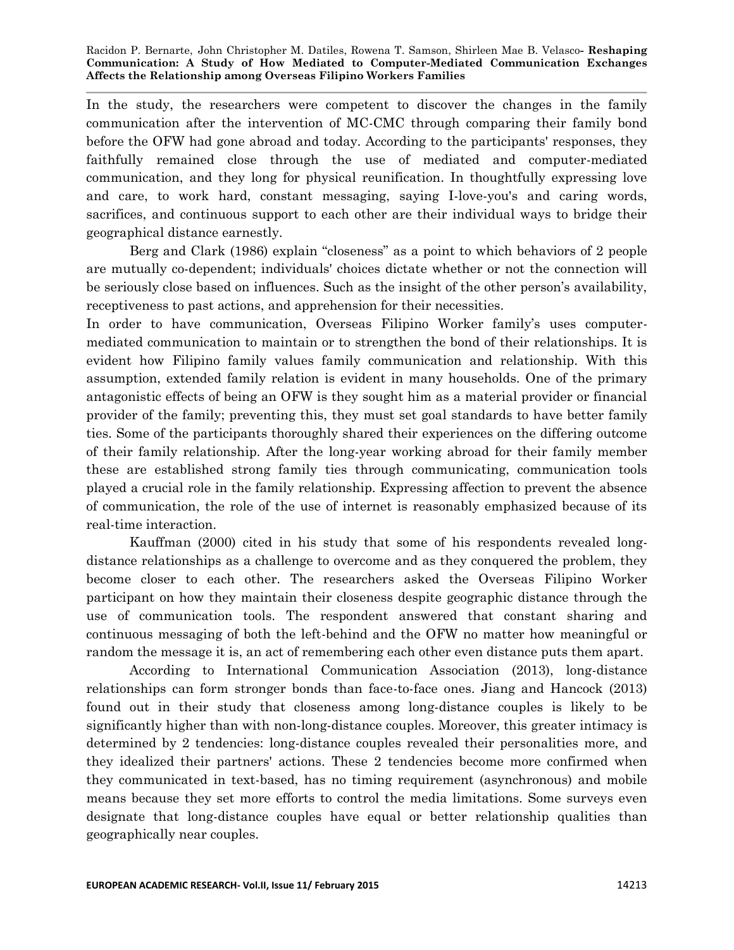In the study, the researchers were competent to discover the changes in the family communication after the intervention of MC-CMC through comparing their family bond before the OFW had gone abroad and today. According to the participants' responses, they faithfully remained close through the use of mediated and computer-mediated communication, and they long for physical reunification. In thoughtfully expressing love and care, to work hard, constant messaging, saying I-love-you's and caring words, sacrifices, and continuous support to each other are their individual ways to bridge their geographical distance earnestly.

Berg and Clark (1986) explain "closeness" as a point to which behaviors of 2 people are mutually co-dependent; individuals' choices dictate whether or not the connection will be seriously close based on influences. Such as the insight of the other person's availability, receptiveness to past actions, and apprehension for their necessities.

In order to have communication, Overseas Filipino Worker family's uses computermediated communication to maintain or to strengthen the bond of their relationships. It is evident how Filipino family values family communication and relationship. With this assumption, extended family relation is evident in many households. One of the primary antagonistic effects of being an OFW is they sought him as a material provider or financial provider of the family; preventing this, they must set goal standards to have better family ties. Some of the participants thoroughly shared their experiences on the differing outcome of their family relationship. After the long-year working abroad for their family member these are established strong family ties through communicating, communication tools played a crucial role in the family relationship. Expressing affection to prevent the absence of communication, the role of the use of internet is reasonably emphasized because of its real-time interaction.

Kauffman (2000) cited in his study that some of his respondents revealed longdistance relationships as a challenge to overcome and as they conquered the problem, they become closer to each other. The researchers asked the Overseas Filipino Worker participant on how they maintain their closeness despite geographic distance through the use of communication tools. The respondent answered that constant sharing and continuous messaging of both the left-behind and the OFW no matter how meaningful or random the message it is, an act of remembering each other even distance puts them apart.

According to International Communication Association (2013), long-distance relationships can form stronger bonds than face-to-face ones. Jiang and Hancock (2013) found out in their study that closeness among long-distance couples is likely to be significantly higher than with non-long-distance couples. Moreover, this greater intimacy is determined by 2 tendencies: long-distance couples revealed their personalities more, and they idealized their partners' actions. These 2 tendencies become more confirmed when they communicated in text-based, has no timing requirement (asynchronous) and mobile means because they set more efforts to control the media limitations. Some surveys even designate that long-distance couples have equal or better relationship qualities than geographically near couples.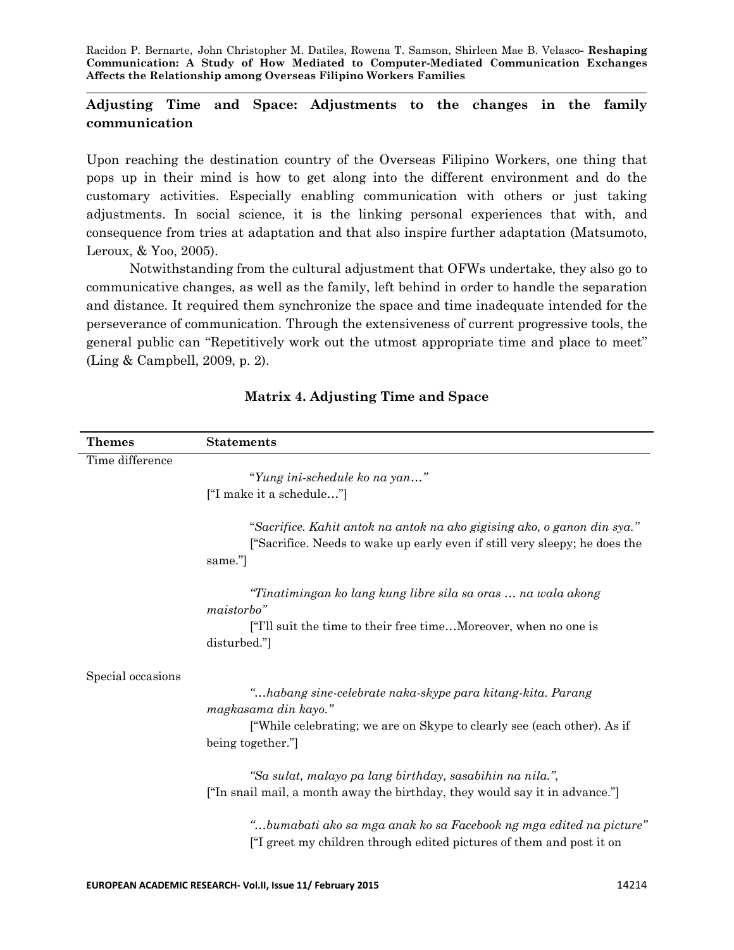# **Adjusting Time and Space: Adjustments to the changes in the family communication**

Upon reaching the destination country of the Overseas Filipino Workers, one thing that pops up in their mind is how to get along into the different environment and do the customary activities. Especially enabling communication with others or just taking adjustments. In social science, it is the linking personal experiences that with, and consequence from tries at adaptation and that also inspire further adaptation (Matsumoto, Leroux, & Yoo, 2005).

Notwithstanding from the cultural adjustment that OFWs undertake, they also go to communicative changes, as well as the family, left behind in order to handle the separation and distance. It required them synchronize the space and time inadequate intended for the perseverance of communication. Through the extensiveness of current progressive tools, the general public can "Repetitively work out the utmost appropriate time and place to meet" (Ling & Campbell, 2009, p. 2).

| <b>Themes</b>     | <b>Statements</b>                                                                                                                                               |
|-------------------|-----------------------------------------------------------------------------------------------------------------------------------------------------------------|
| Time difference   |                                                                                                                                                                 |
|                   | "Yung ini-schedule ko na yan"                                                                                                                                   |
|                   | ["I make it a schedule"]                                                                                                                                        |
|                   | "Sacrifice. Kahit antok na antok na ako gigising ako, o ganon din sya."<br>["Sacrifice. Needs to wake up early even if still very sleepy; he does the<br>same." |
|                   | "Tinatimingan ko lang kung libre sila sa oras  na wala akong<br>maistorbo"                                                                                      |
|                   | ["I'll suit the time to their free timeMoreover, when no one is<br>disturbed."                                                                                  |
| Special occasions |                                                                                                                                                                 |
|                   | "habang sine-celebrate naka-skype para kitang-kita. Parang<br>magkasama din kayo."                                                                              |
|                   | ["While celebrating; we are on Skype to clearly see (each other). As if                                                                                         |
|                   | being together."                                                                                                                                                |
|                   | "Sa sulat, malayo pa lang birthday, sasabihin na nila.",                                                                                                        |
|                   | ["In snail mail, a month away the birthday, they would say it in advance."]                                                                                     |
|                   | "bumabati ako sa mga anak ko sa Facebook ng mga edited na picture"<br><sup>"</sup> I greet my children through edited pictures of them and post it on           |

# **Matrix 4. Adjusting Time and Space**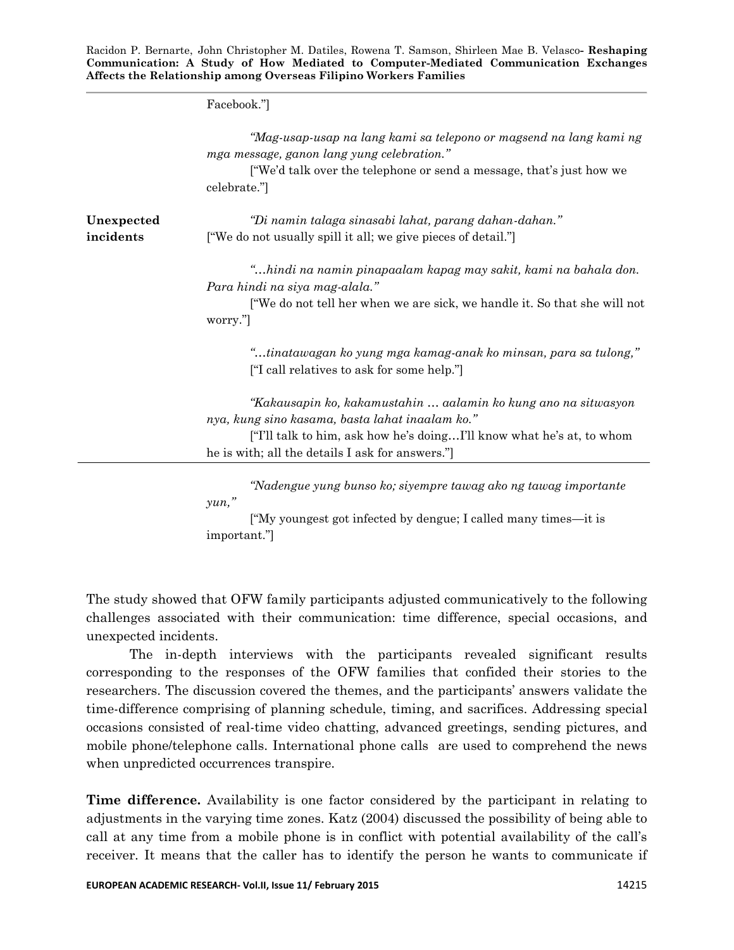Facebook.‖]

|            | "Mag-usap-usap na lang kami sa telepono or magsend na lang kami ng<br>mga message, ganon lang yung celebration."<br>["We'd talk over the telephone or send a message, that's just how we |
|------------|------------------------------------------------------------------------------------------------------------------------------------------------------------------------------------------|
|            | celebrate."                                                                                                                                                                              |
| Unexpected | "Di namin talaga sinasabi lahat, parang dahan-dahan."                                                                                                                                    |
| incidents  | ["We do not usually spill it all; we give pieces of detail."]                                                                                                                            |
|            | "hindi na namin pinapaalam kapag may sakit, kami na bahala don.<br>Para hindi na siya mag-alala."                                                                                        |
|            | ["We do not tell her when we are sick, we handle it. So that she will not<br>worry."                                                                                                     |
|            | "tinatawagan ko yung mga kamag-anak ko minsan, para sa tulong,"<br>["I call relatives to ask for some help."]                                                                            |
|            | "Kakausapin ko, kakamustahin  aalamin ko kung ano na sitwasyon                                                                                                                           |
|            | nya, kung sino kasama, basta lahat inaalam ko."                                                                                                                                          |
|            | ["I'll talk to him, ask how he's doingI'll know what he's at, to whom                                                                                                                    |
|            | he is with; all the details I ask for answers."                                                                                                                                          |

*"Nadengue yung bunso ko; siyempre tawag ako ng tawag importante yun,"*

 $\lceil M_y \rceil$  youngest got infected by dengue; I called many times—it is important.‖]

The study showed that OFW family participants adjusted communicatively to the following challenges associated with their communication: time difference, special occasions, and unexpected incidents.

The in-depth interviews with the participants revealed significant results corresponding to the responses of the OFW families that confided their stories to the researchers. The discussion covered the themes, and the participants' answers validate the time-difference comprising of planning schedule, timing, and sacrifices. Addressing special occasions consisted of real-time video chatting, advanced greetings, sending pictures, and mobile phone/telephone calls. International phone calls are used to comprehend the news when unpredicted occurrences transpire.

**Time difference.** Availability is one factor considered by the participant in relating to adjustments in the varying time zones. Katz (2004) discussed the possibility of being able to call at any time from a mobile phone is in conflict with potential availability of the call's receiver. It means that the caller has to identify the person he wants to communicate if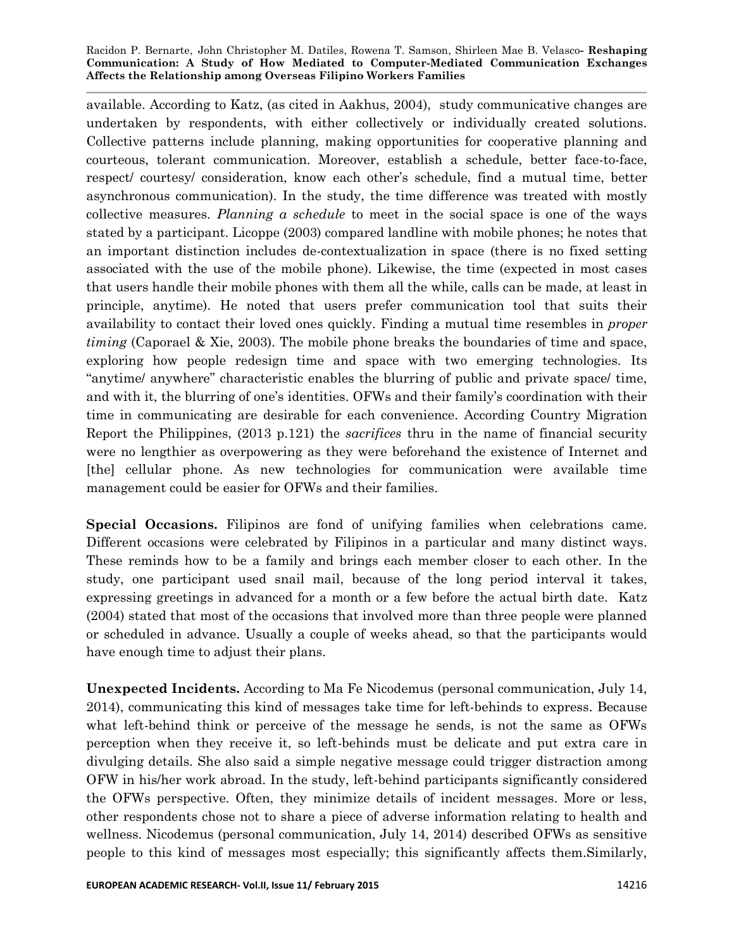available. According to Katz, (as cited in Aakhus, 2004), study communicative changes are undertaken by respondents, with either collectively or individually created solutions. Collective patterns include planning, making opportunities for cooperative planning and courteous, tolerant communication. Moreover, establish a schedule, better face-to-face, respect/ courtesy/ consideration, know each other's schedule, find a mutual time, better asynchronous communication). In the study, the time difference was treated with mostly collective measures. *Planning a schedule* to meet in the social space is one of the ways stated by a participant. Licoppe (2003) compared landline with mobile phones; he notes that an important distinction includes de-contextualization in space (there is no fixed setting associated with the use of the mobile phone). Likewise, the time (expected in most cases that users handle their mobile phones with them all the while, calls can be made, at least in principle, anytime). He noted that users prefer communication tool that suits their availability to contact their loved ones quickly. Finding a mutual time resembles in *proper timing* (Caporael & Xie, 2003). The mobile phone breaks the boundaries of time and space, exploring how people redesign time and space with two emerging technologies. Its ―anytime/ anywhere‖ characteristic enables the blurring of public and private space/ time, and with it, the blurring of one's identities. OFWs and their family's coordination with their time in communicating are desirable for each convenience. According Country Migration Report the Philippines, (2013 p.121) the *sacrifices* thru in the name of financial security were no lengthier as overpowering as they were beforehand the existence of Internet and [the] cellular phone. As new technologies for communication were available time management could be easier for OFWs and their families.

**Special Occasions.** Filipinos are fond of unifying families when celebrations came. Different occasions were celebrated by Filipinos in a particular and many distinct ways. These reminds how to be a family and brings each member closer to each other. In the study, one participant used snail mail, because of the long period interval it takes, expressing greetings in advanced for a month or a few before the actual birth date. Katz (2004) stated that most of the occasions that involved more than three people were planned or scheduled in advance. Usually a couple of weeks ahead, so that the participants would have enough time to adjust their plans.

**Unexpected Incidents.** According to Ma Fe Nicodemus (personal communication, July 14, 2014), communicating this kind of messages take time for left-behinds to express. Because what left-behind think or perceive of the message he sends, is not the same as OFWs perception when they receive it, so left-behinds must be delicate and put extra care in divulging details. She also said a simple negative message could trigger distraction among OFW in his/her work abroad. In the study, left-behind participants significantly considered the OFWs perspective. Often, they minimize details of incident messages. More or less, other respondents chose not to share a piece of adverse information relating to health and wellness. Nicodemus (personal communication, July 14, 2014) described OFWs as sensitive people to this kind of messages most especially; this significantly affects them.Similarly,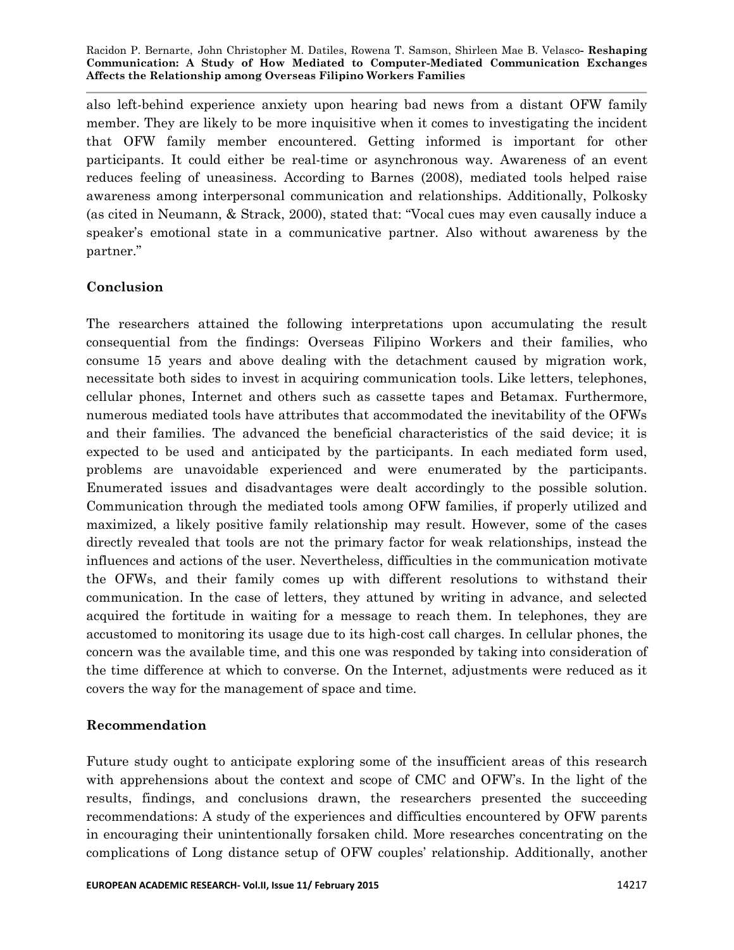also left-behind experience anxiety upon hearing bad news from a distant OFW family member. They are likely to be more inquisitive when it comes to investigating the incident that OFW family member encountered. Getting informed is important for other participants. It could either be real-time or asynchronous way. Awareness of an event reduces feeling of uneasiness. According to Barnes (2008), mediated tools helped raise awareness among interpersonal communication and relationships. Additionally, Polkosky (as cited in Neumann, & Strack, 2000), stated that: "Vocal cues may even causally induce a speaker's emotional state in a communicative partner. Also without awareness by the partner."

# **Conclusion**

The researchers attained the following interpretations upon accumulating the result consequential from the findings: Overseas Filipino Workers and their families, who consume 15 years and above dealing with the detachment caused by migration work, necessitate both sides to invest in acquiring communication tools. Like letters, telephones, cellular phones, Internet and others such as cassette tapes and Betamax. Furthermore, numerous mediated tools have attributes that accommodated the inevitability of the OFWs and their families. The advanced the beneficial characteristics of the said device; it is expected to be used and anticipated by the participants. In each mediated form used, problems are unavoidable experienced and were enumerated by the participants. Enumerated issues and disadvantages were dealt accordingly to the possible solution. Communication through the mediated tools among OFW families, if properly utilized and maximized, a likely positive family relationship may result. However, some of the cases directly revealed that tools are not the primary factor for weak relationships, instead the influences and actions of the user. Nevertheless, difficulties in the communication motivate the OFWs, and their family comes up with different resolutions to withstand their communication. In the case of letters, they attuned by writing in advance, and selected acquired the fortitude in waiting for a message to reach them. In telephones, they are accustomed to monitoring its usage due to its high-cost call charges. In cellular phones, the concern was the available time, and this one was responded by taking into consideration of the time difference at which to converse. On the Internet, adjustments were reduced as it covers the way for the management of space and time.

# **Recommendation**

Future study ought to anticipate exploring some of the insufficient areas of this research with apprehensions about the context and scope of CMC and OFW's. In the light of the results, findings, and conclusions drawn, the researchers presented the succeeding recommendations: A study of the experiences and difficulties encountered by OFW parents in encouraging their unintentionally forsaken child. More researches concentrating on the complications of Long distance setup of OFW couples' relationship. Additionally, another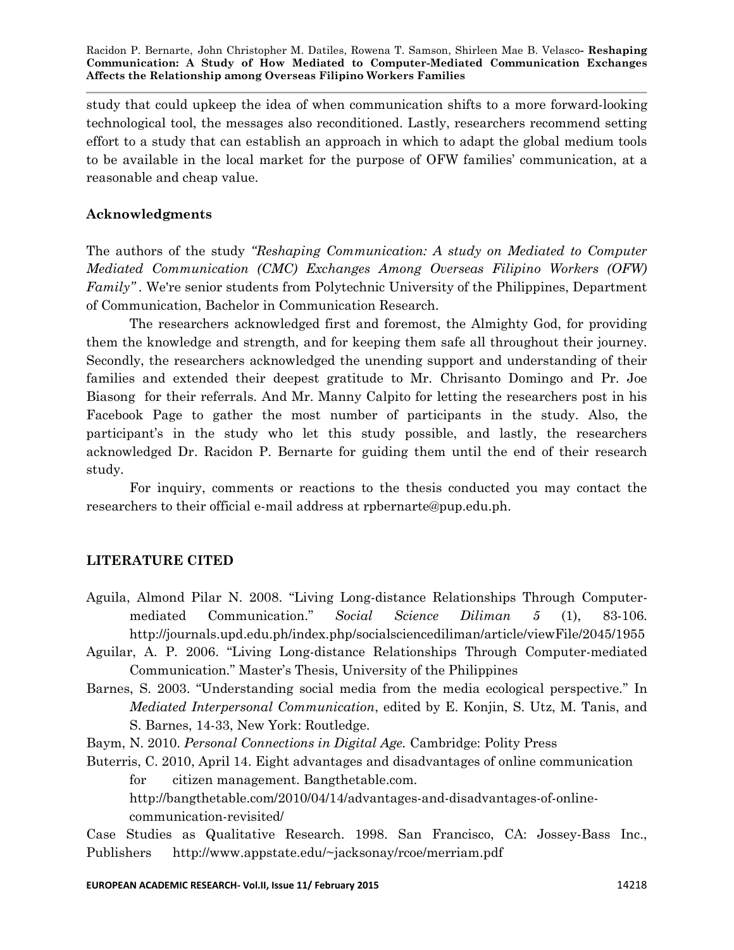study that could upkeep the idea of when communication shifts to a more forward-looking technological tool, the messages also reconditioned. Lastly, researchers recommend setting effort to a study that can establish an approach in which to adapt the global medium tools to be available in the local market for the purpose of OFW families' communication, at a reasonable and cheap value.

# **Acknowledgments**

The authors of the study *"Reshaping Communication: A study on Mediated to Computer Mediated Communication (CMC) Exchanges Among Overseas Filipino Workers (OFW) Family"*. We're senior students from Polytechnic University of the Philippines, Department of Communication, Bachelor in Communication Research.

The researchers acknowledged first and foremost, the Almighty God, for providing them the knowledge and strength, and for keeping them safe all throughout their journey. Secondly, the researchers acknowledged the unending support and understanding of their families and extended their deepest gratitude to Mr. Chrisanto Domingo and Pr. Joe Biasong for their referrals. And Mr. Manny Calpito for letting the researchers post in his Facebook Page to gather the most number of participants in the study. Also, the participant's in the study who let this study possible, and lastly, the researchers acknowledged Dr. Racidon P. Bernarte for guiding them until the end of their research study.

For inquiry, comments or reactions to the thesis conducted you may contact the researchers to their official e-mail address at rpbernarte@pup.edu.ph.

# **LITERATURE CITED**

- Aguila, Almond Pilar N. 2008. "Living Long-distance Relationships Through Computermediated Communication.‖ *Social Science Diliman 5* (1), 83-106. http://journals.upd.edu.ph/index.php/socialsciencediliman/article/viewFile/2045/1955
- Aguilar, A. P. 2006. "Living Long-distance Relationships Through Computer-mediated Communication.‖ Master's Thesis, University of the Philippines
- Barnes, S. 2003. "Understanding social media from the media ecological perspective." In *Mediated Interpersonal Communication*, edited by E. Konjin, S. Utz, M. Tanis, and S. Barnes, 14-33, New York: Routledge.

Baym, N. 2010. *Personal Connections in Digital Age.* Cambridge: Polity Press

Buterris, C. 2010, April 14. Eight advantages and disadvantages of online communication for citizen management. Bangthetable.com.

http://bangthetable.com/2010/04/14/advantages-and-disadvantages-of-onlinecommunication-revisited/

Case Studies as Qualitative Research. 1998. San Francisco, CA: Jossey-Bass Inc., Publishers http://www.appstate.edu/~jacksonay/rcoe/merriam.pdf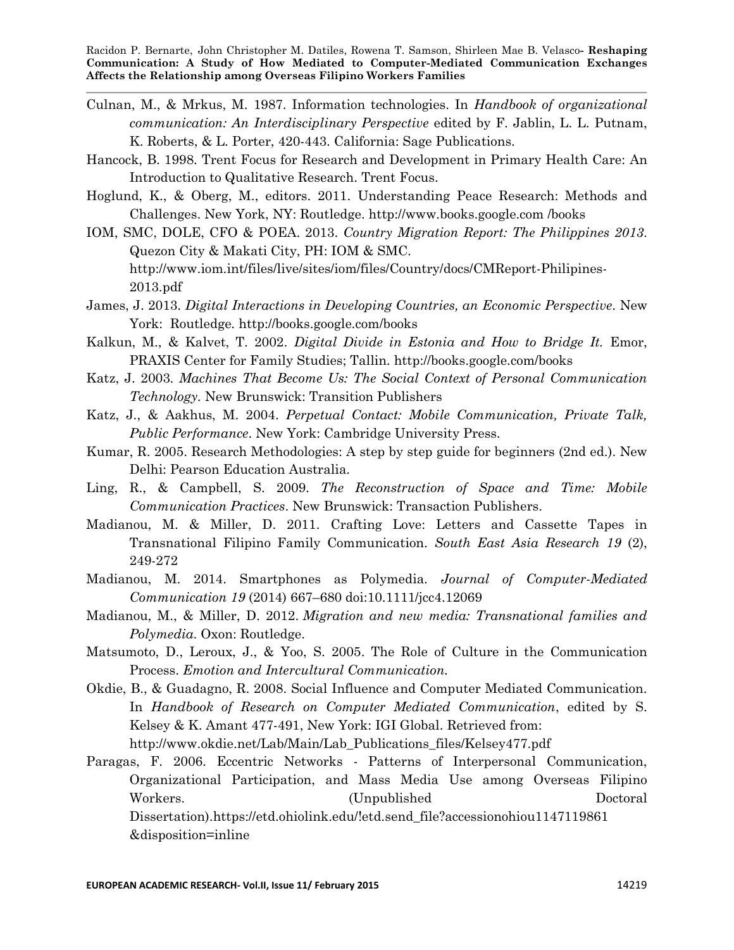- Culnan, M., & Mrkus, M. 1987. Information technologies. In *Handbook of organizational communication: An Interdisciplinary Perspective* edited by F. Jablin, L. L. Putnam, K. Roberts, & L. Porter, 420-443. California: Sage Publications.
- Hancock, B. 1998. Trent Focus for Research and Development in Primary Health Care: An Introduction to Qualitative Research. Trent Focus.
- Hoglund, K., & Oberg, M., editors. 2011. Understanding Peace Research: Methods and Challenges. New York, NY: Routledge. http://www.books.google.com /books
- IOM, SMC, DOLE, CFO & POEA. 2013. *Country Migration Report: The Philippines 2013*. Quezon City & Makati City, PH: IOM & SMC. http://www.iom.int/files/live/sites/iom/files/Country/docs/CMReport-Philipines-2013.pdf
- James, J. 2013. *Digital Interactions in Developing Countries, an Economic Perspective*. New York: Routledge. http://books.google.com/books
- Kalkun, M., & Kalvet, T. 2002. *Digital Divide in Estonia and How to Bridge It.* Emor, PRAXIS Center for Family Studies; Tallin. http://books.google.com/books
- Katz, J. 2003. *Machines That Become Us: The Social Context of Personal Communication Technology.* New Brunswick: Transition Publishers
- Katz, J., & Aakhus, M. 2004. *Perpetual Contact: Mobile Communication, Private Talk, Public Performance*. New York: Cambridge University Press.
- Kumar, R. 2005. Research Methodologies: A step by step guide for beginners (2nd ed.). New Delhi: Pearson Education Australia.
- Ling, R., & Campbell, S. 2009. *The Reconstruction of Space and Time: Mobile Communication Practices*. New Brunswick: Transaction Publishers.
- Madianou, M. & Miller, D. 2011. Crafting Love: Letters and Cassette Tapes in Transnational Filipino Family Communication. *South East Asia Research 19* (2), 249-272
- Madianou, M. 2014. Smartphones as Polymedia. *Journal of Computer-Mediated Communication 19* (2014) 667–680 doi:10.1111/jcc4.12069
- Madianou, M., & Miller, D. 2012. *Migration and new media: Transnational families and Polymedia*. Oxon: Routledge.
- Matsumoto, D., Leroux, J., & Yoo, S. 2005. The Role of Culture in the Communication Process. *Emotion and Intercultural Communication.*
- Okdie, B., & Guadagno, R. 2008. Social Influence and Computer Mediated Communication. In *Handbook of Research on Computer Mediated Communication*, edited by S. Kelsey & K. Amant 477-491, New York: IGI Global. Retrieved from: http://www.okdie.net/Lab/Main/Lab\_Publications\_files/Kelsey477.pdf
- Paragas, F. 2006. Eccentric Networks Patterns of Interpersonal Communication, Organizational Participation, and Mass Media Use among Overseas Filipino Workers. (Unpublished Doctoral Dissertation).https://etd.ohiolink.edu/!etd.send\_file?accessionohiou1147119861 &disposition=inline